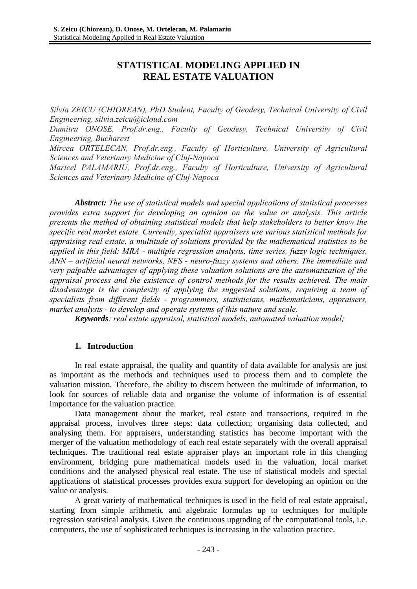# **STATISTICAL MODELING APPLIED IN REAL ESTATE VALUATION**

*Silvia ZEICU (CHIOREAN), PhD Student, Faculty of Geodesy, Technical University of Civil Engineering, silvia.zeicu@icloud.com* 

*Dumitru ONOSE, Prof.dr.eng., Faculty of Geodesy, Technical University of Civil Engineering, Bucharest* 

*Mircea ORTELECAN, Prof.dr.eng., Faculty of Horticulture, University of Agricultural Sciences and Veterinary Medicine of Cluj-Napoca* 

*Maricel PALAMARIU, Prof.dr.eng., Faculty of Horticulture, University of Agricultural Sciences and Veterinary Medicine of Cluj-Napoca* 

*Abstract: The use of statistical models and special applications of statistical processes provides extra support for developing an opinion on the value or analysis. This article presents the method of obtaining statistical models that help stakeholders to better know the specific real market estate. Currently, specialist appraisers use various statistical methods for appraising real estate, a multitude of solutions provided by the mathematical statistics to be applied in this field: MRA - multiple regression analysis, time series, fuzzy logic techniques, ANN – artificial neural networks, NFS - neuro-fuzzy systems and others. The immediate and very palpable advantages of applying these valuation solutions are the automatization of the appraisal process and the existence of control methods for the results achieved. The main disadvantage is the complexity of applying the suggested solutions, requiring a team of specialists from different fields - programmers, statisticians, mathematicians, appraisers, market analysts - to develop and operate systems of this nature and scale.* 

*Keywords: real estate appraisal, statistical models, automated valuation model;* 

#### **1. Introduction**

In real estate appraisal, the quality and quantity of data available for analysis are just as important as the methods and techniques used to process them and to complete the valuation mission. Therefore, the ability to discern between the multitude of information, to look for sources of reliable data and organise the volume of information is of essential importance for the valuation practice.

Data management about the market, real estate and transactions, required in the appraisal process, involves three steps: data collection; organising data collected, and analysing them. For appraisers, understanding statistics has become important with the merger of the valuation methodology of each real estate separately with the overall appraisal techniques. The traditional real estate appraiser plays an important role in this changing environment, bridging pure mathematical models used in the valuation, local market conditions and the analysed physical real estate. The use of statistical models and special applications of statistical processes provides extra support for developing an opinion on the value or analysis.

A great variety of mathematical techniques is used in the field of real estate appraisal, starting from simple arithmetic and algebraic formulas up to techniques for multiple regression statistical analysis. Given the continuous upgrading of the computational tools, i.e. computers, the use of sophisticated techniques is increasing in the valuation practice.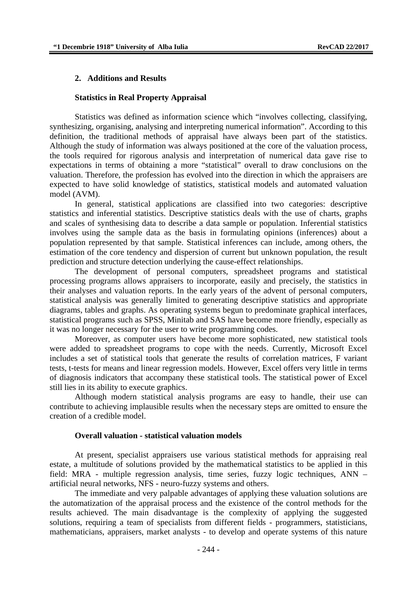#### **2. Additions and Results**

#### **Statistics in Real Property Appraisal**

Statistics was defined as information science which "involves collecting, classifying, synthesizing, organising, analysing and interpreting numerical information". According to this definition, the traditional methods of appraisal have always been part of the statistics. Although the study of information was always positioned at the core of the valuation process, the tools required for rigorous analysis and interpretation of numerical data gave rise to expectations in terms of obtaining a more "statistical" overall to draw conclusions on the valuation. Therefore, the profession has evolved into the direction in which the appraisers are expected to have solid knowledge of statistics, statistical models and automated valuation model (AVM).

In general, statistical applications are classified into two categories: descriptive statistics and inferential statistics. Descriptive statistics deals with the use of charts, graphs and scales of synthesising data to describe a data sample or population. Inferential statistics involves using the sample data as the basis in formulating opinions (inferences) about a population represented by that sample. Statistical inferences can include, among others, the estimation of the core tendency and dispersion of current but unknown population, the result prediction and structure detection underlying the cause-effect relationships.

The development of personal computers, spreadsheet programs and statistical processing programs allows appraisers to incorporate, easily and precisely, the statistics in their analyses and valuation reports. In the early years of the advent of personal computers, statistical analysis was generally limited to generating descriptive statistics and appropriate diagrams, tables and graphs. As operating systems begun to predominate graphical interfaces, statistical programs such as SPSS, Minitab and SAS have become more friendly, especially as it was no longer necessary for the user to write programming codes.

Moreover, as computer users have become more sophisticated, new statistical tools were added to spreadsheet programs to cope with the needs. Currently, Microsoft Excel includes a set of statistical tools that generate the results of correlation matrices, F variant tests, t-tests for means and linear regression models. However, Excel offers very little in terms of diagnosis indicators that accompany these statistical tools. The statistical power of Excel still lies in its ability to execute graphics.

Although modern statistical analysis programs are easy to handle, their use can contribute to achieving implausible results when the necessary steps are omitted to ensure the creation of a credible model.

#### **Overall valuation - statistical valuation models**

At present, specialist appraisers use various statistical methods for appraising real estate, a multitude of solutions provided by the mathematical statistics to be applied in this field: MRA - multiple regression analysis, time series, fuzzy logic techniques, ANN – artificial neural networks, NFS - neuro-fuzzy systems and others.

The immediate and very palpable advantages of applying these valuation solutions are the automatization of the appraisal process and the existence of the control methods for the results achieved. The main disadvantage is the complexity of applying the suggested solutions, requiring a team of specialists from different fields - programmers, statisticians, mathematicians, appraisers, market analysts - to develop and operate systems of this nature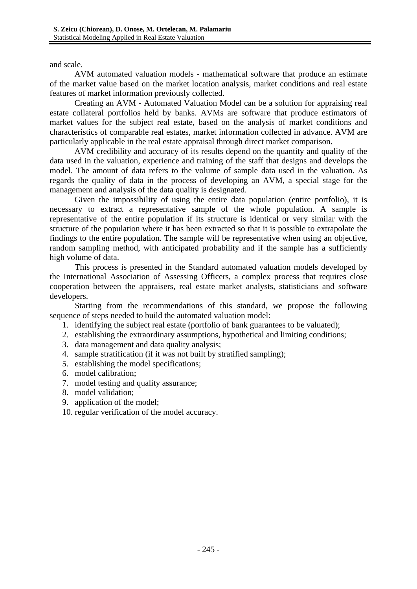and scale.

 AVM automated valuation models - mathematical software that produce an estimate of the market value based on the market location analysis, market conditions and real estate features of market information previously collected.

 Creating an AVM - Automated Valuation Model can be a solution for appraising real estate collateral portfolios held by banks. AVMs are software that produce estimators of market values for the subject real estate, based on the analysis of market conditions and characteristics of comparable real estates, market information collected in advance. AVM are particularly applicable in the real estate appraisal through direct market comparison.

 AVM credibility and accuracy of its results depend on the quantity and quality of the data used in the valuation, experience and training of the staff that designs and develops the model. The amount of data refers to the volume of sample data used in the valuation. As regards the quality of data in the process of developing an AVM, a special stage for the management and analysis of the data quality is designated.

 Given the impossibility of using the entire data population (entire portfolio), it is necessary to extract a representative sample of the whole population. A sample is representative of the entire population if its structure is identical or very similar with the structure of the population where it has been extracted so that it is possible to extrapolate the findings to the entire population. The sample will be representative when using an objective, random sampling method, with anticipated probability and if the sample has a sufficiently high volume of data.

This process is presented in the Standard automated valuation models developed by the International Association of Assessing Officers, a complex process that requires close cooperation between the appraisers, real estate market analysts, statisticians and software developers.

Starting from the recommendations of this standard, we propose the following sequence of steps needed to build the automated valuation model:

- 1. identifying the subject real estate (portfolio of bank guarantees to be valuated);
- 2. establishing the extraordinary assumptions, hypothetical and limiting conditions;
- 3. data management and data quality analysis;
- 4. sample stratification (if it was not built by stratified sampling);
- 5. establishing the model specifications;
- 6. model calibration;
- 7. model testing and quality assurance;
- 8. model validation;
- 9. application of the model;

10. regular verification of the model accuracy.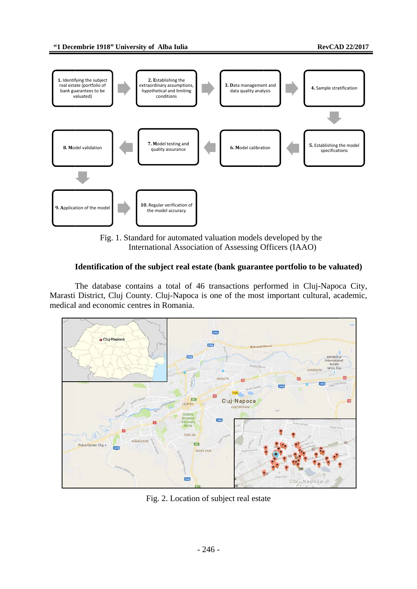

Fig. 1. Standard for automated valuation models developed by the International Association of Assessing Officers (IAAO)

## Identification of the subject real estate (bank guarantee portfolio to be valuated)

The database contains a total of 46 transactions performed in Cluj-Napoca City, Marasti District, Cluj County. Cluj-Napoca is one of the most important cultural, academic, medical and economic centres in Romania.



Fig. 2. Location of subject real estate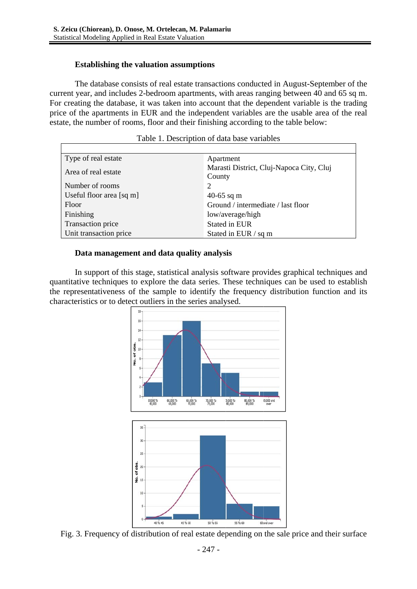# **Establishing the valuation assumptions**

The database consists of real estate transactions conducted in August-September of the current year, and includes 2-bedroom apartments, with areas ranging between 40 and 65 sq m. For creating the database, it was taken into account that the dependent variable is the trading price of the apartments in EUR and the independent variables are the usable area of the real estate, the number of rooms, floor and their finishing according to the table below:

| Type of real estate                           | Apartment                                          |
|-----------------------------------------------|----------------------------------------------------|
| Area of real estate                           | Marasti District, Cluj-Napoca City, Cluj<br>County |
| Number of rooms                               | 2                                                  |
| Useful floor area $\lceil \text{sq m} \rceil$ | 40-65 sq m                                         |
| Floor                                         | Ground / intermediate / last floor                 |
| Finishing                                     | low/average/high                                   |
| Transaction price                             | Stated in EUR                                      |
| Unit transaction price                        | Stated in EUR / sq m                               |

|  | Table 1. Description of data base variables |  |  |  |  |
|--|---------------------------------------------|--|--|--|--|
|--|---------------------------------------------|--|--|--|--|

# Data management and data quality analysis

In support of this stage, statistical analysis software provides graphical techniques and quantitative techniques to explore the data series. These techniques can be used to establish the representativeness of the sample to identify the frequency distribution function and its characteristics or to detect outliers in the series analysed.



Fig. 3. Frequency of distribution of real estate depending on the sale price and their surface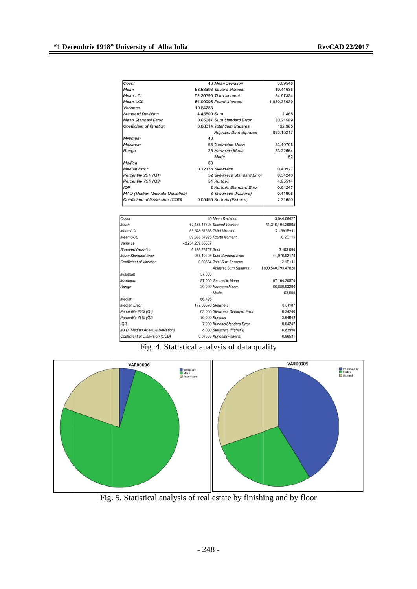| Count                                  |             | 46 Mean Deviation           | 3.09546     |
|----------------------------------------|-------------|-----------------------------|-------------|
| Mean                                   |             | 53.58696 Secord Moment      | 19.41635    |
| Mean LCL                               |             | 52.26396 Third Moment       | 34.67334    |
| Mean UCL                               |             | 54.90995 Fourth Moment      | 1,830.36039 |
| Variance                               | 19.84783    |                             |             |
| <b>Standard Deviation</b>              | 4.45509 Sum |                             | 2,465       |
| Mean Standard Error                    |             | 0.65687 Sum Standard Error  | 30.21589    |
| <b>Coefficient of Variation</b>        |             | 0.08314 Total Sum Squares   | 132,985     |
|                                        |             | <b>Adjused Sum Squares</b>  | 893.15217   |
| Minimum                                | 40          |                             |             |
| Maximum                                |             | 65 Geometric Mean           | 53.40705    |
| Range                                  |             | 25 Harmonic Mean            | 53.22664    |
|                                        |             | Mode                        | 52          |
| Median                                 | 53          |                             |             |
| <b>Median Error</b>                    |             | 0.12138 Skewness            | 0.40527     |
| Percentile 25% (Q1)                    |             | 52 Skewness Standard Error  | 0.34240     |
| Percentile 75% (Q3)                    |             | 54 Kurtosis                 | 4.85514     |
| <b>IQR</b>                             |             | 2 Kurtosis Standard Error   | 0.64247     |
| <b>MAD (Median Absolute Deviation)</b> |             | 6 Skewness (Fisher's)       | 0.41906     |
| Coefficient of Dispersion (COD)        |             | 0.05455 Kurtosis (Fisher's) | 2.21650     |
|                                        |             |                             |             |

| Count                           |                    | 46 Mean Deviation              | 5,044.06427         |
|---------------------------------|--------------------|--------------------------------|---------------------|
| Mean                            |                    | 67,458.47826 Second Moment     | 41,316,104.20605    |
| Mean LCL                        |                    | 65.528.57658 Third Moment      | 2.1561E+11          |
| Mean UCL                        |                    | 69,388.37995 Fourth Moment     | $6.2E + 15$         |
| Variance                        | 42,234,239.85507   |                                |                     |
| Standard Deviation              | 6,498.78757 Sum    |                                | 3,103,090           |
| Mean Standard Error             |                    | 958.19395 Sum Standard Error   | 44,076.92178        |
| Coefficient of Variation        |                    | 0.09634 Total Sum Squares      | $2.1E+11$           |
|                                 |                    | <b>Adjusted Sum Squares</b>    | 1,900,540,793.47826 |
| Minimum                         | 57,000             |                                |                     |
| Maximum                         |                    | 87,000 Geometric Mean          | 67, 164. 20574      |
| Range                           |                    | 30,000 Harmonic Mean           | 66,880.93296        |
|                                 |                    | Mode                           | 63,000              |
| Median                          | 66.495             |                                |                     |
| Median Error                    | 177,06570 Skewness |                                | 0.81187             |
| Percentile 25% (Q1)             |                    | 63,000 Skewness Standard Error | 0.34240             |
| Percentile 75% (Q3)             |                    | 70,000 Kurtosis                | 3.64642             |
| IQR                             |                    | 7,000 Kurtosis Standard Error  | 0.64247             |
| MAD (Median Absolute Deviation) |                    | 8,000 Skewness (Fisher's)      | 0.83950             |
| Coefficient of Dispersion (COD) |                    | 0.07555 Kurtosis (Fisher's)    | 0.86531             |
|                                 |                    |                                |                     |

# Fig. 4. Statistical analysis of data quality



Fig. 5. Statistical analysis of real estate by finishing and by floor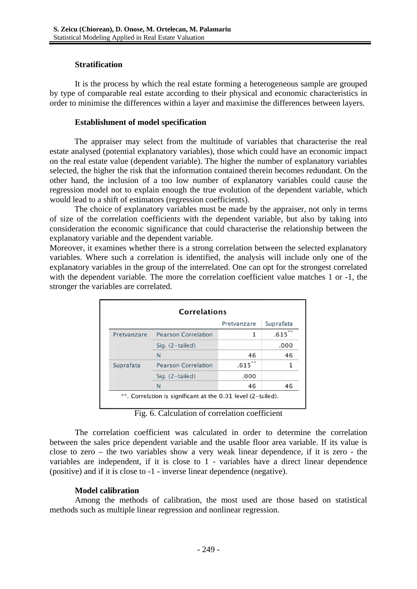### **Stratification**

It is the process by which the real estate forming a heterogeneous sample are grouped by type of comparable real estate according to their physical and economic characteristics in order to minimise the differences within a layer and maximise the differences between layers.

# **Establishment of model specification**

The appraiser may select from the multitude of variables that characterise the real estate analysed (potential explanatory variables), those which could have an economic impact on the real estate value (dependent variable). The higher the number of explanatory variables selected, the higher the risk that the information contained therein becomes redundant. On the other hand, the inclusion of a too low number of explanatory variables could cause the regression model not to explain enough the true evolution of the dependent variable, which would lead to a shift of estimators (regression coefficients).

The choice of explanatory variables must be made by the appraiser, not only in terms of size of the correlation coefficients with the dependent variable, but also by taking into consideration the economic significance that could characterise the relationship between the explanatory variable and the dependent variable.

Moreover, it examines whether there is a strong correlation between the selected explanatory variables. Where such a correlation is identified, the analysis will include only one of the explanatory variables in the group of the interrelated. One can opt for the strongest correlated with the dependent variable. The more the correlation coefficient value matches 1 or -1, the stronger the variables are correlated.

|             |                            | Pretvanzare | Suprafata  |
|-------------|----------------------------|-------------|------------|
| Pretvanzare | <b>Pearson Correlation</b> | 1           | **<br>.615 |
|             | Sig. $(2-tailed)$          |             | .000       |
|             | N                          | 46          | 46         |
| Suprafata   | <b>Pearson Correlation</b> | **<br>.615  |            |
|             | Sig. (2-tailed)            | .000        |            |
|             | N                          | 46          | 46         |

Fig. 6. Calculation of correlation coefficient

The correlation coefficient was calculated in order to determine the correlation between the sales price dependent variable and the usable floor area variable. If its value is close to zero  $-$  the two variables show a very weak linear dependence, if it is zero  $-$  the variables are independent, if it is close to 1 - variables have a direct linear dependence (positive) and if it is close to -1 - inverse linear dependence (negative).

# **Model calibration**

Among the methods of calibration, the most used are those based on statistical methods such as multiple linear regression and nonlinear regression.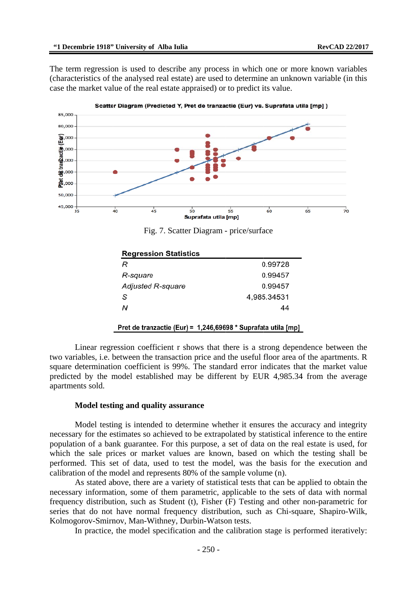The term regression is used to describe any process in which one or more known variables (characteristics of the analysed real estate) are used to determine an unknown variable (in this case the market value of the real estate appraised) or to predict its value.



Fig. 7. Scatter Diagram - price/surface

| <b>Regression Statistics</b> |             |
|------------------------------|-------------|
| R                            | 0.99728     |
| R-square                     | 0.99457     |
| Adjusted R-square            | 0.99457     |
| S                            | 4,985.34531 |
| Ν                            | 44          |
|                              |             |

Pret de tranzactie (Eur) = 1,246,69698 \* Suprafata utila [mp]

Linear regression coefficient r shows that there is a strong dependence between the two variables, i.e. between the transaction price and the useful floor area of the apartments. R square determination coefficient is 99%. The standard error indicates that the market value predicted by the model established may be different by EUR 4,985.34 from the average apartments sold.

#### Model testing and quality assurance

Model testing is intended to determine whether it ensures the accuracy and integrity necessary for the estimates so achieved to be extrapolated by statistical inference to the entire population of a bank guarantee. For this purpose, a set of data on the real estate is used, for which the sale prices or market values are known, based on which the testing shall be performed. This set of data, used to test the model, was the basis for the execution and calibration of the model and represents 80% of the sample volume (n).

As stated above, there are a variety of statistical tests that can be applied to obtain the necessary information, some of them parametric, applicable to the sets of data with normal frequency distribution, such as Student (t), Fisher (F) Testing and other non-parametric for series that do not have normal frequency distribution, such as Chi-square, Shapiro-Wilk, Kolmogorov-Smirnov, Man-Withney, Durbin-Watson tests.

In practice, the model specification and the calibration stage is performed iteratively: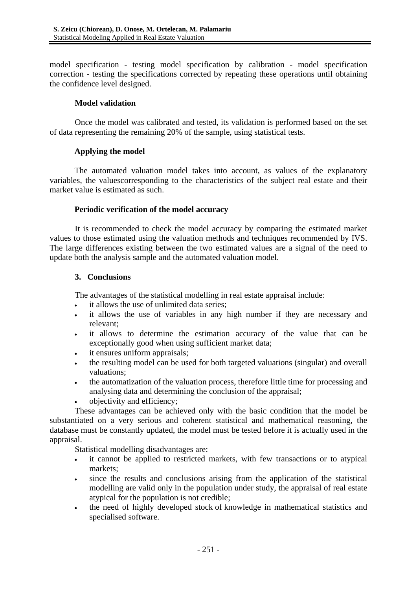model specification - testing model specification by calibration - model specification correction - testing the specifications corrected by repeating these operations until obtaining the confidence level designed.

## **Model validation**

Once the model was calibrated and tested, its validation is performed based on the set of data representing the remaining 20% of the sample, using statistical tests.

## **Applying the model**

The automated valuation model takes into account, as values of the explanatory variables, the valuescorresponding to the characteristics of the subject real estate and their market value is estimated as such.

## **Periodic verification of the model accuracy**

It is recommended to check the model accuracy by comparing the estimated market values to those estimated using the valuation methods and techniques recommended by IVS. The large differences existing between the two estimated values are a signal of the need to update both the analysis sample and the automated valuation model.

## **3. Conclusions**

The advantages of the statistical modelling in real estate appraisal include:

- it allows the use of unlimited data series;
- it allows the use of variables in any high number if they are necessary and relevant;
- it allows to determine the estimation accuracy of the value that can be exceptionally good when using sufficient market data;
- it ensures uniform appraisals;
- the resulting model can be used for both targeted valuations (singular) and overall valuations;
- the automatization of the valuation process, therefore little time for processing and analysing data and determining the conclusion of the appraisal;
- objectivity and efficiency;

These advantages can be achieved only with the basic condition that the model be substantiated on a very serious and coherent statistical and mathematical reasoning, the database must be constantly updated, the model must be tested before it is actually used in the appraisal.

Statistical modelling disadvantages are:

- it cannot be applied to restricted markets, with few transactions or to atypical markets;
- since the results and conclusions arising from the application of the statistical modelling are valid only in the population under study, the appraisal of real estate atypical for the population is not credible;
- the need of highly developed stock of knowledge in mathematical statistics and specialised software.